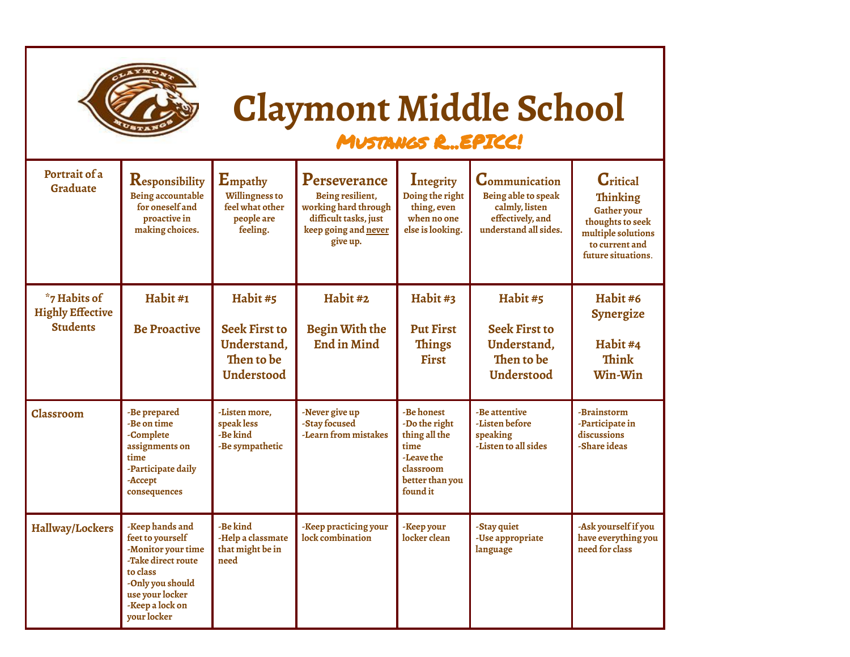| <b>IXMON</b> |
|--------------|
|              |
|              |
| <b>STANO</b> |

## **Claymont Middle School**

## Mustangs R...EPICC!

| Portrait of a<br>Graduate                                  | Responsibility<br>Being accountable<br>for oneself and<br>proactive in<br>making choices.                                                                            | Empathy<br><b>Willingness to</b><br>feel what other<br>people are<br>feeling.      | Perseverance<br>Being resilient,<br>working hard through<br>difficult tasks, just<br>keep going and never<br>give up. | Integrity<br>Doing the right<br>thing, even<br>when no one<br>else is looking.                                 | <b>Communication</b><br>Being able to speak<br>calmly, listen<br>effectively, and<br>understand all sides. | <b>C</b> ritical<br><b>Thinking</b><br>Gather your<br>thoughts to seek<br>multiple solutions<br>to current and<br>future situations. |
|------------------------------------------------------------|----------------------------------------------------------------------------------------------------------------------------------------------------------------------|------------------------------------------------------------------------------------|-----------------------------------------------------------------------------------------------------------------------|----------------------------------------------------------------------------------------------------------------|------------------------------------------------------------------------------------------------------------|--------------------------------------------------------------------------------------------------------------------------------------|
| *7 Habits of<br><b>Highly Effective</b><br><b>Students</b> | Habit #1<br><b>Be Proactive</b>                                                                                                                                      | Habit #5<br><b>Seek First to</b><br>Understand,<br>Then to be<br><b>Understood</b> | Habit #2<br>Begin With the<br><b>End in Mind</b>                                                                      | Habit #3<br><b>Put First</b><br><b>Things</b><br><b>First</b>                                                  | Habit #5<br><b>Seek First to</b><br>Understand,<br>Then to be<br>Understood                                | Habit#6<br>Synergize<br>Habit #4<br>Think<br>Win-Win                                                                                 |
| <b>Classroom</b>                                           | -Be prepared<br>-Be on time<br>-Complete<br>assignments on<br>time<br>-Participate daily<br>-Accept<br>consequences                                                  | -Listen more.<br>speak less<br>-Be kind<br>-Be sympathetic                         | -Never give up<br>-Stay focused<br>-Learn from mistakes                                                               | -Be honest<br>-Do the right<br>thing all the<br>time<br>-Leave the<br>classroom<br>better than you<br>found it | -Be attentive<br>-Listen before<br>speaking<br>-Listen to all sides                                        | -Brainstorm<br>-Participate in<br>discussions<br>-Share ideas                                                                        |
| <b>Hallway/Lockers</b>                                     | -Keep hands and<br>feet to yourself<br>-Monitor your time<br>-Take direct route<br>to class<br>-Only you should<br>use your locker<br>-Keep a lock on<br>vour locker | -Be kind<br>-Help a classmate<br>that might be in<br>need                          | -Keep practicing your<br>lock combination                                                                             | -Keep your<br>locker clean                                                                                     | -Stay quiet<br>-Use appropriate<br>language                                                                | -Ask yourself if you<br>have everything you<br>need for class                                                                        |